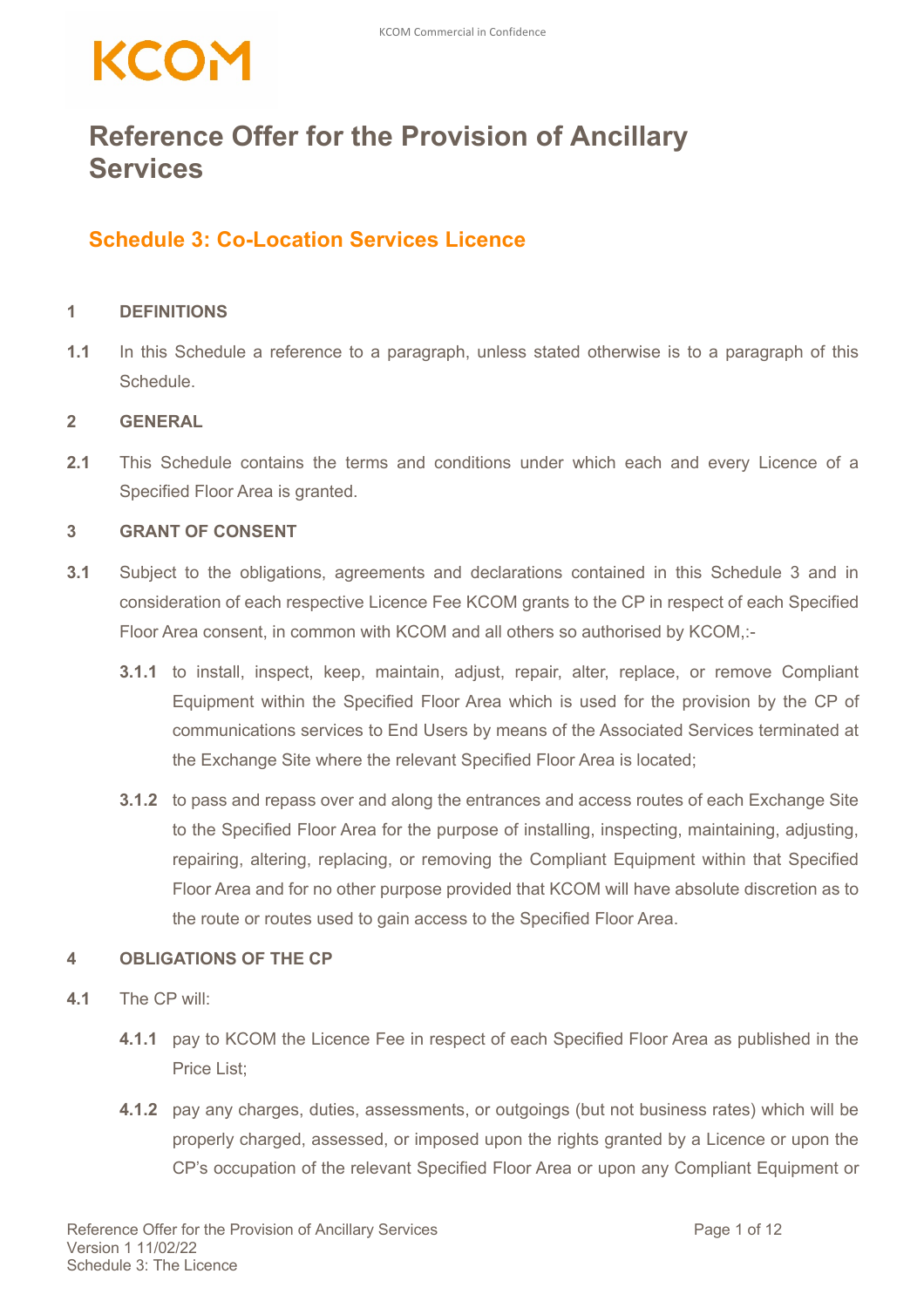## KCOM

### **Reference Offer for the Provision of Ancillary Services**

### **Schedule 3: Co-Location Services Licence**

#### **1 DEFINITIONS**

**1.1** In this Schedule a reference to a paragraph, unless stated otherwise is to a paragraph of this **Schedule** 

#### **2 GENERAL**

**2.1** This Schedule contains the terms and conditions under which each and every Licence of a Specified Floor Area is granted.

#### **3 GRANT OF CONSENT**

- **3.1** Subject to the obligations, agreements and declarations contained in this Schedule 3 and in consideration of each respective Licence Fee KCOM grants to the CP in respect of each Specified Floor Area consent, in common with KCOM and all others so authorised by KCOM,:-
	- **3.1.1** to install, inspect, keep, maintain, adjust, repair, alter, replace, or remove Compliant Equipment within the Specified Floor Area which is used for the provision by the CP of communications services to End Users by means of the Associated Services terminated at the Exchange Site where the relevant Specified Floor Area is located;
	- **3.1.2** to pass and repass over and along the entrances and access routes of each Exchange Site to the Specified Floor Area for the purpose of installing, inspecting, maintaining, adjusting, repairing, altering, replacing, or removing the Compliant Equipment within that Specified Floor Area and for no other purpose provided that KCOM will have absolute discretion as to the route or routes used to gain access to the Specified Floor Area.

#### **4 OBLIGATIONS OF THE CP**

- **4.1** The CP will:
	- **4.1.1** pay to KCOM the Licence Fee in respect of each Specified Floor Area as published in the Price List;
	- **4.1.2** pay any charges, duties, assessments, or outgoings (but not business rates) which will be properly charged, assessed, or imposed upon the rights granted by a Licence or upon the CP's occupation of the relevant Specified Floor Area or upon any Compliant Equipment or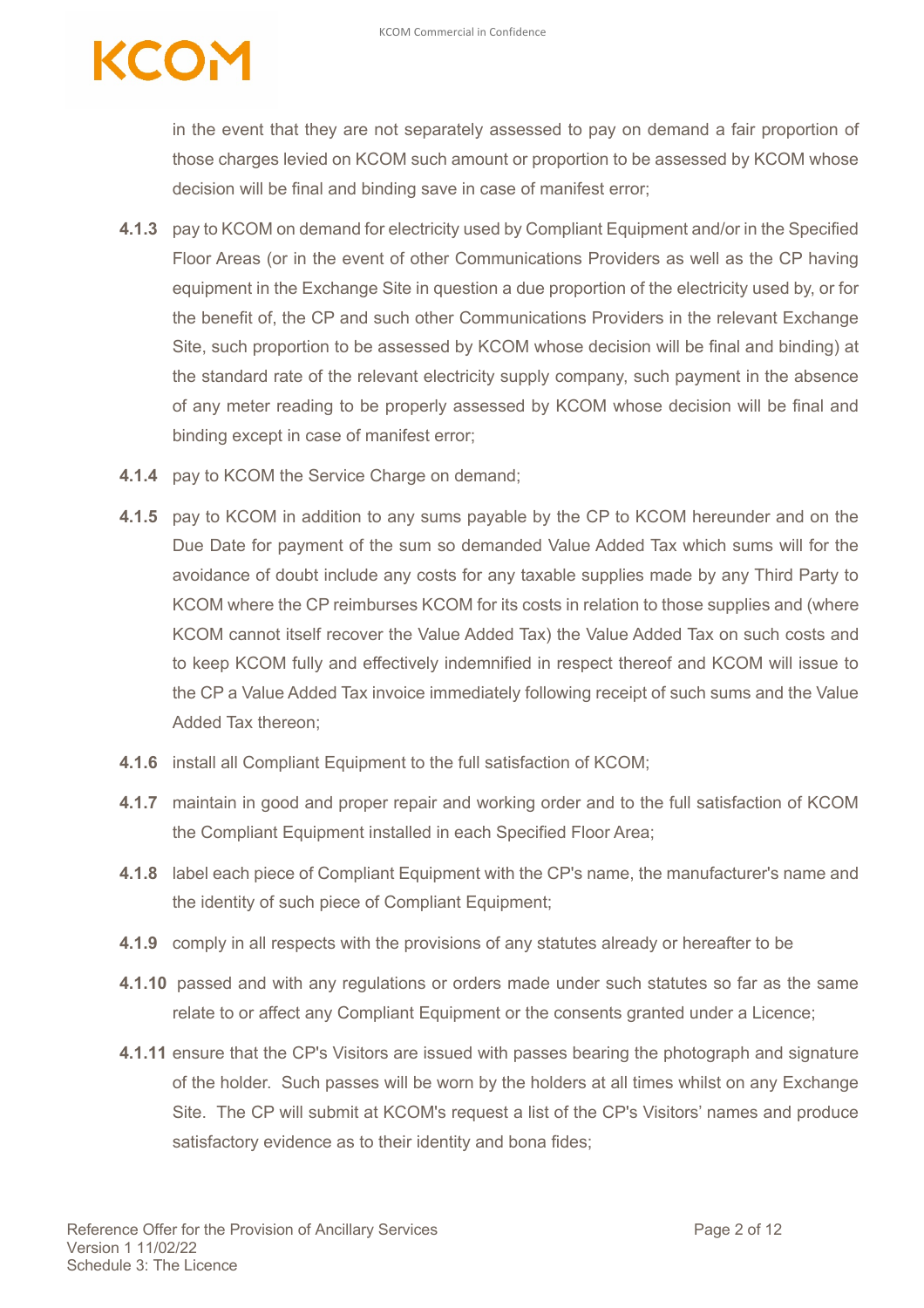## **COM**

in the event that they are not separately assessed to pay on demand a fair proportion of those charges levied on KCOM such amount or proportion to be assessed by KCOM whose decision will be final and binding save in case of manifest error;

- **4.1.3** pay to KCOM on demand for electricity used by Compliant Equipment and/or in the Specified Floor Areas (or in the event of other Communications Providers as well as the CP having equipment in the Exchange Site in question a due proportion of the electricity used by, or for the benefit of, the CP and such other Communications Providers in the relevant Exchange Site, such proportion to be assessed by KCOM whose decision will be final and binding) at the standard rate of the relevant electricity supply company, such payment in the absence of any meter reading to be properly assessed by KCOM whose decision will be final and binding except in case of manifest error;
- **4.1.4** pay to KCOM the Service Charge on demand;
- **4.1.5** pay to KCOM in addition to any sums payable by the CP to KCOM hereunder and on the Due Date for payment of the sum so demanded Value Added Tax which sums will for the avoidance of doubt include any costs for any taxable supplies made by any Third Party to KCOM where the CP reimburses KCOM for its costs in relation to those supplies and (where KCOM cannot itself recover the Value Added Tax) the Value Added Tax on such costs and to keep KCOM fully and effectively indemnified in respect thereof and KCOM will issue to the CP a Value Added Tax invoice immediately following receipt of such sums and the Value Added Tax thereon;
- **4.1.6** install all Compliant Equipment to the full satisfaction of KCOM;
- **4.1.7** maintain in good and proper repair and working order and to the full satisfaction of KCOM the Compliant Equipment installed in each Specified Floor Area;
- **4.1.8** label each piece of Compliant Equipment with the CP's name, the manufacturer's name and the identity of such piece of Compliant Equipment;
- **4.1.9** comply in all respects with the provisions of any statutes already or hereafter to be
- **4.1.10** passed and with any regulations or orders made under such statutes so far as the same relate to or affect any Compliant Equipment or the consents granted under a Licence;
- **4.1.11** ensure that the CP's Visitors are issued with passes bearing the photograph and signature of the holder. Such passes will be worn by the holders at all times whilst on any Exchange Site. The CP will submit at KCOM's request a list of the CP's Visitors' names and produce satisfactory evidence as to their identity and bona fides;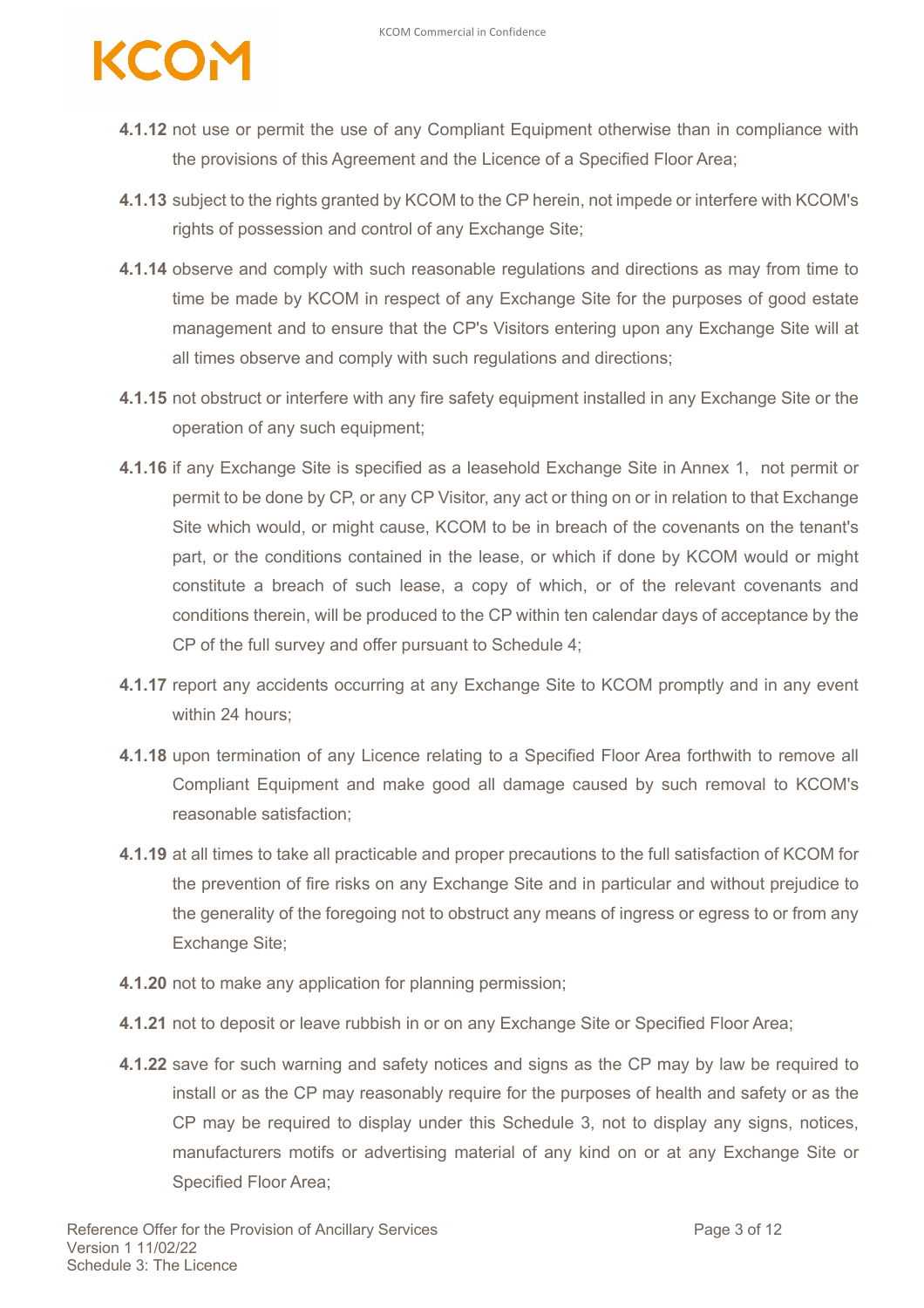# CON

- **4.1.12** not use or permit the use of any Compliant Equipment otherwise than in compliance with the provisions of this Agreement and the Licence of a Specified Floor Area;
- **4.1.13** subject to the rights granted by KCOM to the CP herein, not impede or interfere with KCOM's rights of possession and control of any Exchange Site;
- **4.1.14** observe and comply with such reasonable regulations and directions as may from time to time be made by KCOM in respect of any Exchange Site for the purposes of good estate management and to ensure that the CP's Visitors entering upon any Exchange Site will at all times observe and comply with such regulations and directions;
- **4.1.15** not obstruct or interfere with any fire safety equipment installed in any Exchange Site or the operation of any such equipment;
- **4.1.16** if any Exchange Site is specified as a leasehold Exchange Site in Annex 1, not permit or permit to be done by CP, or any CP Visitor, any act or thing on or in relation to that Exchange Site which would, or might cause, KCOM to be in breach of the covenants on the tenant's part, or the conditions contained in the lease, or which if done by KCOM would or might constitute a breach of such lease, a copy of which, or of the relevant covenants and conditions therein, will be produced to the CP within ten calendar days of acceptance by the CP of the full survey and offer pursuant to Schedule 4;
- **4.1.17** report any accidents occurring at any Exchange Site to KCOM promptly and in any event within 24 hours;
- **4.1.18** upon termination of any Licence relating to a Specified Floor Area forthwith to remove all Compliant Equipment and make good all damage caused by such removal to KCOM's reasonable satisfaction;
- **4.1.19** at all times to take all practicable and proper precautions to the full satisfaction of KCOM for the prevention of fire risks on any Exchange Site and in particular and without prejudice to the generality of the foregoing not to obstruct any means of ingress or egress to or from any Exchange Site;
- **4.1.20** not to make any application for planning permission;
- **4.1.21** not to deposit or leave rubbish in or on any Exchange Site or Specified Floor Area;
- **4.1.22** save for such warning and safety notices and signs as the CP may by law be required to install or as the CP may reasonably require for the purposes of health and safety or as the CP may be required to display under this Schedule 3, not to display any signs, notices, manufacturers motifs or advertising material of any kind on or at any Exchange Site or Specified Floor Area;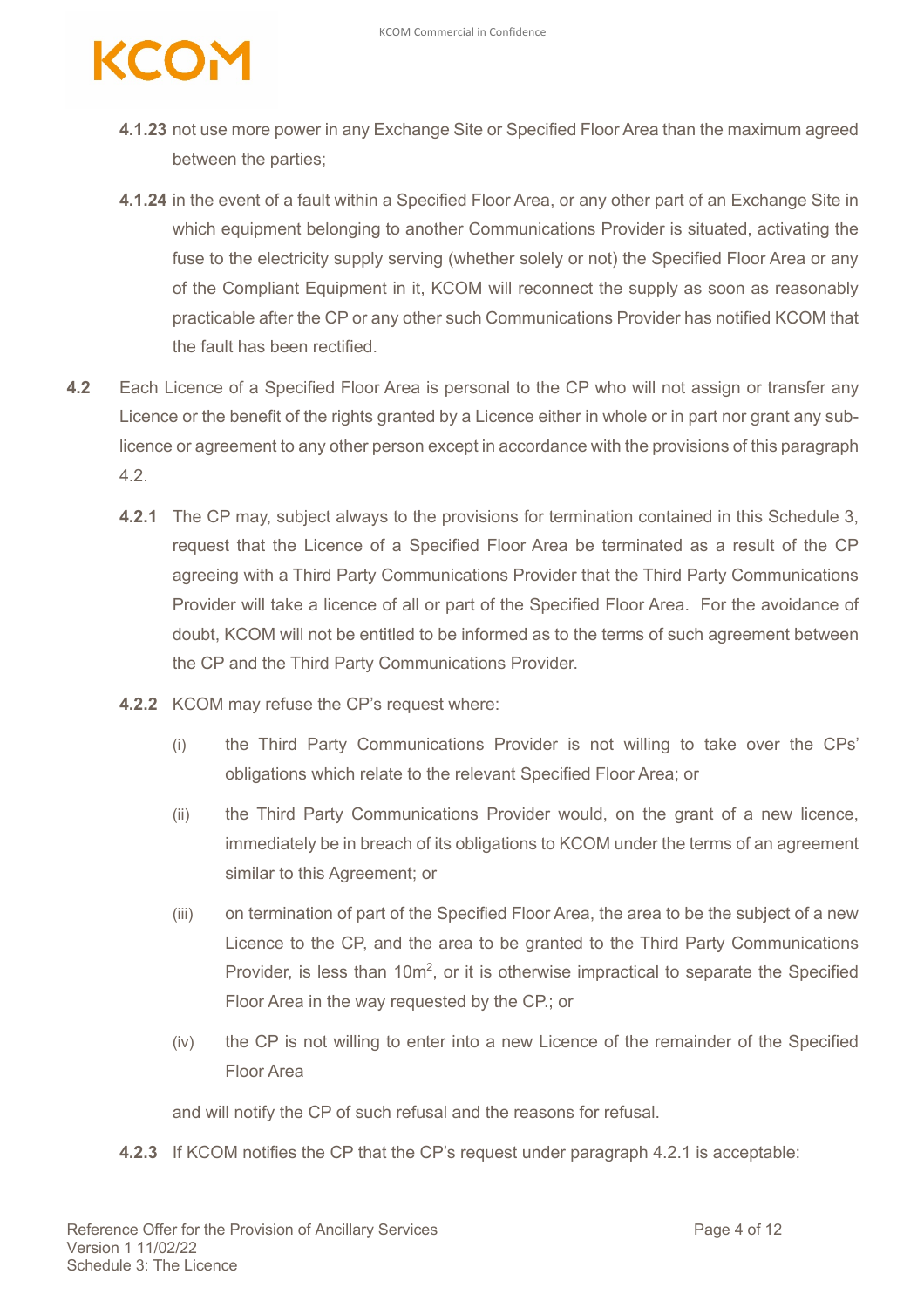# COM

- **4.1.23** not use more power in any Exchange Site or Specified Floor Area than the maximum agreed between the parties;
- **4.1.24** in the event of a fault within a Specified Floor Area, or any other part of an Exchange Site in which equipment belonging to another Communications Provider is situated, activating the fuse to the electricity supply serving (whether solely or not) the Specified Floor Area or any of the Compliant Equipment in it, KCOM will reconnect the supply as soon as reasonably practicable after the CP or any other such Communications Provider has notified KCOM that the fault has been rectified.
- **4.2** Each Licence of a Specified Floor Area is personal to the CP who will not assign or transfer any Licence or the benefit of the rights granted by a Licence either in whole or in part nor grant any sublicence or agreement to any other person except in accordance with the provisions of this paragraph 4.2.
	- **4.2.1** The CP may, subject always to the provisions for termination contained in this Schedule 3, request that the Licence of a Specified Floor Area be terminated as a result of the CP agreeing with a Third Party Communications Provider that the Third Party Communications Provider will take a licence of all or part of the Specified Floor Area. For the avoidance of doubt, KCOM will not be entitled to be informed as to the terms of such agreement between the CP and the Third Party Communications Provider.
	- **4.2.2** KCOM may refuse the CP's request where:
		- (i) the Third Party Communications Provider is not willing to take over the CPs' obligations which relate to the relevant Specified Floor Area; or
		- (ii) the Third Party Communications Provider would, on the grant of a new licence, immediately be in breach of its obligations to KCOM under the terms of an agreement similar to this Agreement; or
		- (iii) on termination of part of the Specified Floor Area, the area to be the subject of a new Licence to the CP, and the area to be granted to the Third Party Communications Provider, is less than  $10m^2$ , or it is otherwise impractical to separate the Specified Floor Area in the way requested by the CP.; or
		- (iv) the CP is not willing to enter into a new Licence of the remainder of the Specified Floor Area

and will notify the CP of such refusal and the reasons for refusal.

**4.2.3** If KCOM notifies the CP that the CP's request under paragraph 4.2.1 is acceptable: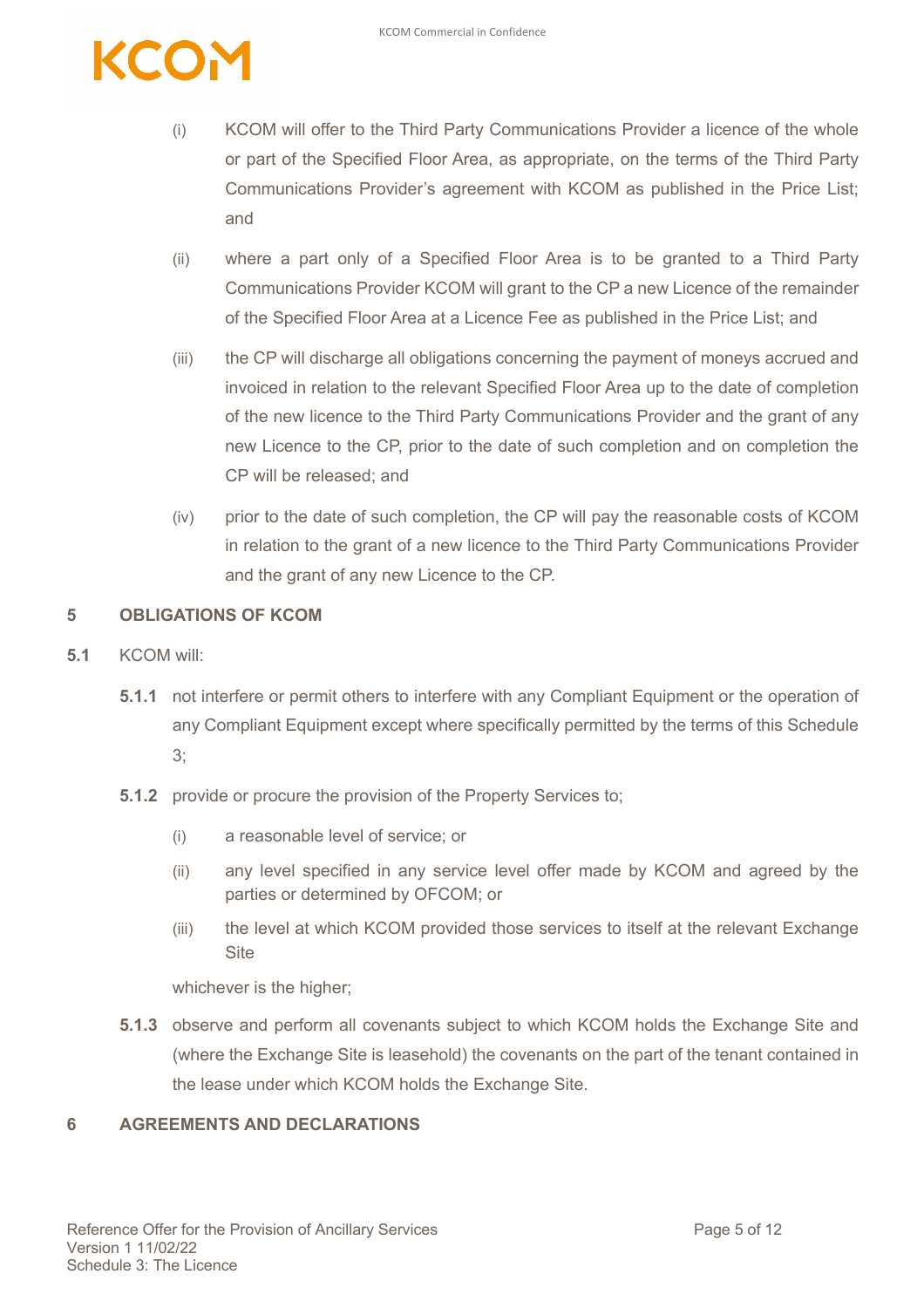

- (i) KCOM will offer to the Third Party Communications Provider a licence of the whole or part of the Specified Floor Area, as appropriate, on the terms of the Third Party Communications Provider's agreement with KCOM as published in the Price List; and
- (ii) where a part only of a Specified Floor Area is to be granted to a Third Party Communications Provider KCOM will grant to the CP a new Licence of the remainder of the Specified Floor Area at a Licence Fee as published in the Price List; and
- (iii) the CP will discharge all obligations concerning the payment of moneys accrued and invoiced in relation to the relevant Specified Floor Area up to the date of completion of the new licence to the Third Party Communications Provider and the grant of any new Licence to the CP, prior to the date of such completion and on completion the CP will be released; and
- (iv) prior to the date of such completion, the CP will pay the reasonable costs of KCOM in relation to the grant of a new licence to the Third Party Communications Provider and the grant of any new Licence to the CP.

#### **5 OBLIGATIONS OF KCOM**

- **5.1** KCOM will:
	- **5.1.1** not interfere or permit others to interfere with any Compliant Equipment or the operation of any Compliant Equipment except where specifically permitted by the terms of this Schedule 3;
	- **5.1.2** provide or procure the provision of the Property Services to;
		- (i) a reasonable level of service; or
		- (ii) any level specified in any service level offer made by KCOM and agreed by the parties or determined by OFCOM; or
		- (iii) the level at which KCOM provided those services to itself at the relevant Exchange **Site**

whichever is the higher;

**5.1.3** observe and perform all covenants subject to which KCOM holds the Exchange Site and (where the Exchange Site is leasehold) the covenants on the part of the tenant contained in the lease under which KCOM holds the Exchange Site.

#### **6 AGREEMENTS AND DECLARATIONS**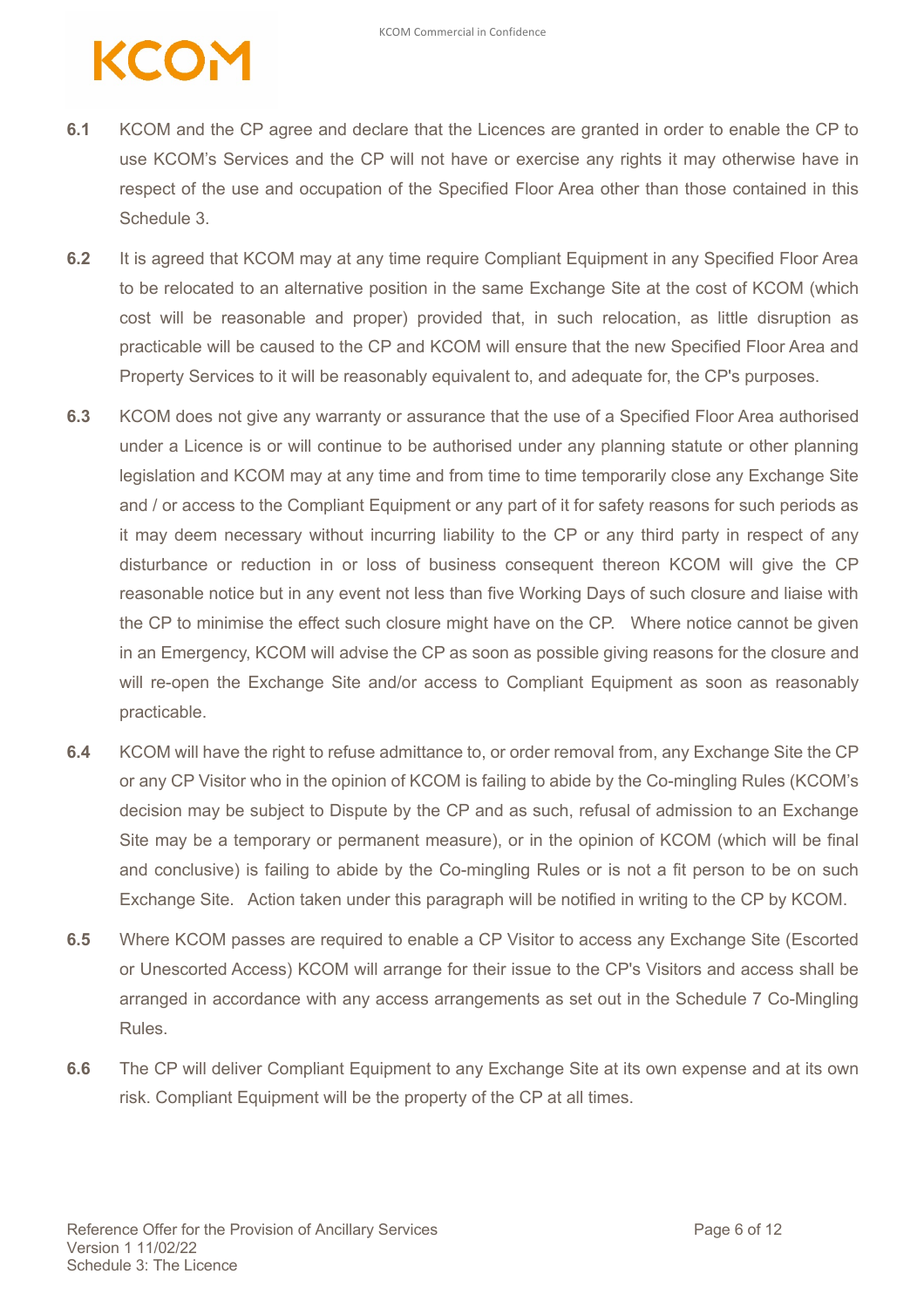## KCOM

- **6.1** KCOM and the CP agree and declare that the Licences are granted in order to enable the CP to use KCOM's Services and the CP will not have or exercise any rights it may otherwise have in respect of the use and occupation of the Specified Floor Area other than those contained in this Schedule 3.
- **6.2** It is agreed that KCOM may at any time require Compliant Equipment in any Specified Floor Area to be relocated to an alternative position in the same Exchange Site at the cost of KCOM (which cost will be reasonable and proper) provided that, in such relocation, as little disruption as practicable will be caused to the CP and KCOM will ensure that the new Specified Floor Area and Property Services to it will be reasonably equivalent to, and adequate for, the CP's purposes.
- **6.3** KCOM does not give any warranty or assurance that the use of a Specified Floor Area authorised under a Licence is or will continue to be authorised under any planning statute or other planning legislation and KCOM may at any time and from time to time temporarily close any Exchange Site and / or access to the Compliant Equipment or any part of it for safety reasons for such periods as it may deem necessary without incurring liability to the CP or any third party in respect of any disturbance or reduction in or loss of business consequent thereon KCOM will give the CP reasonable notice but in any event not less than five Working Days of such closure and liaise with the CP to minimise the effect such closure might have on the CP. Where notice cannot be given in an Emergency, KCOM will advise the CP as soon as possible giving reasons for the closure and will re-open the Exchange Site and/or access to Compliant Equipment as soon as reasonably practicable.
- **6.4** KCOM will have the right to refuse admittance to, or order removal from, any Exchange Site the CP or any CP Visitor who in the opinion of KCOM is failing to abide by the Co-mingling Rules (KCOM's decision may be subject to Dispute by the CP and as such, refusal of admission to an Exchange Site may be a temporary or permanent measure), or in the opinion of KCOM (which will be final and conclusive) is failing to abide by the Co-mingling Rules or is not a fit person to be on such Exchange Site. Action taken under this paragraph will be notified in writing to the CP by KCOM.
- **6.5** Where KCOM passes are required to enable a CP Visitor to access any Exchange Site (Escorted or Unescorted Access) KCOM will arrange for their issue to the CP's Visitors and access shall be arranged in accordance with any access arrangements as set out in the Schedule 7 Co-Mingling Rules.
- **6.6** The CP will deliver Compliant Equipment to any Exchange Site at its own expense and at its own risk. Compliant Equipment will be the property of the CP at all times.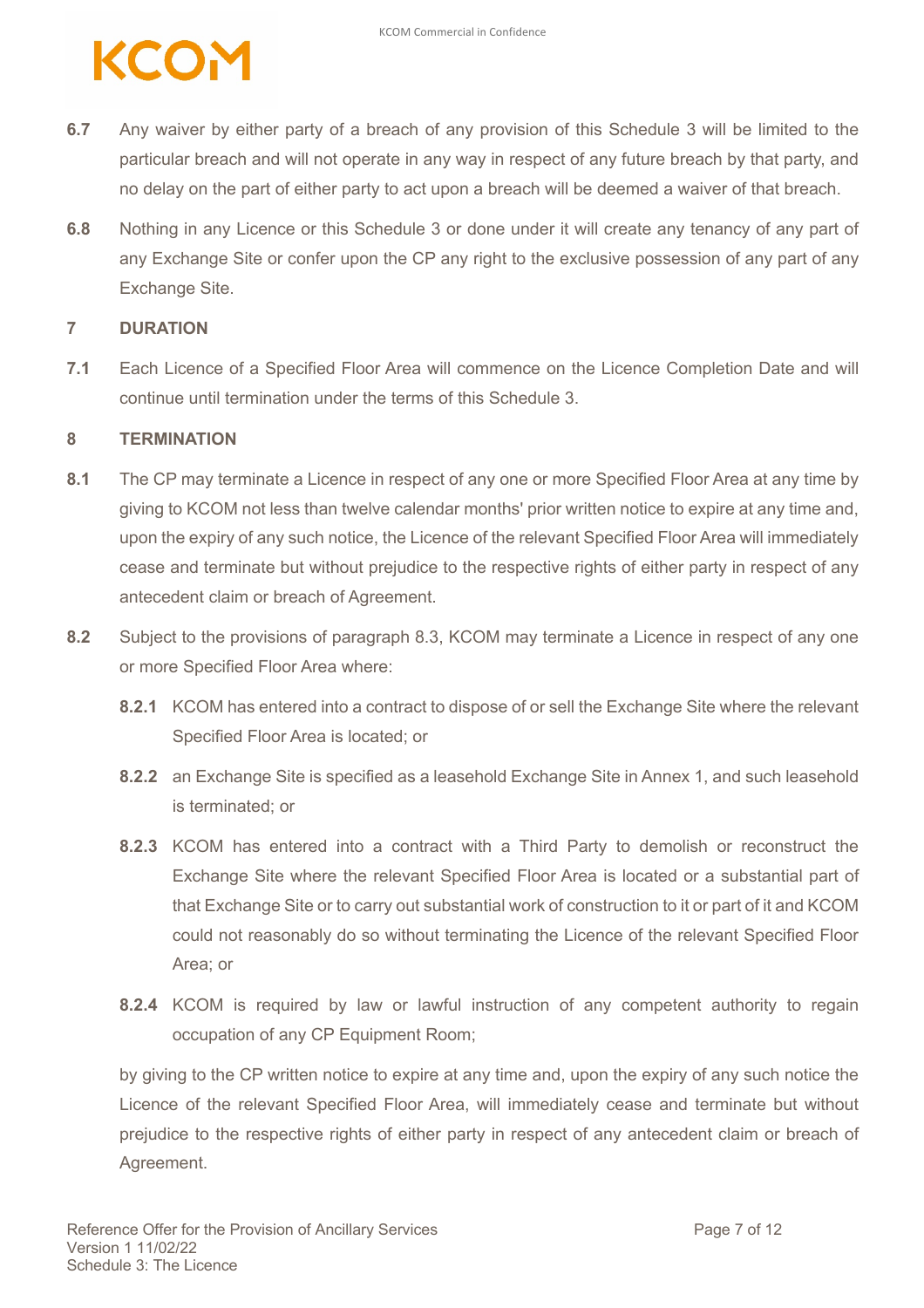

- **6.7** Any waiver by either party of a breach of any provision of this Schedule 3 will be limited to the particular breach and will not operate in any way in respect of any future breach by that party, and no delay on the part of either party to act upon a breach will be deemed a waiver of that breach.
- **6.8** Nothing in any Licence or this Schedule 3 or done under it will create any tenancy of any part of any Exchange Site or confer upon the CP any right to the exclusive possession of any part of any Exchange Site.

#### **7 DURATION**

**7.1** Each Licence of a Specified Floor Area will commence on the Licence Completion Date and will continue until termination under the terms of this Schedule 3.

#### **8 TERMINATION**

- **8.1** The CP may terminate a Licence in respect of any one or more Specified Floor Area at any time by giving to KCOM not less than twelve calendar months' prior written notice to expire at any time and, upon the expiry of any such notice, the Licence of the relevant Specified Floor Area will immediately cease and terminate but without prejudice to the respective rights of either party in respect of any antecedent claim or breach of Agreement.
- **8.2** Subject to the provisions of paragraph 8.3, KCOM may terminate a Licence in respect of any one or more Specified Floor Area where:
	- **8.2.1** KCOM has entered into a contract to dispose of or sell the Exchange Site where the relevant Specified Floor Area is located; or
	- **8.2.2** an Exchange Site is specified as a leasehold Exchange Site in Annex 1, and such leasehold is terminated; or
	- **8.2.3** KCOM has entered into a contract with a Third Party to demolish or reconstruct the Exchange Site where the relevant Specified Floor Area is located or a substantial part of that Exchange Site or to carry out substantial work of construction to it or part of it and KCOM could not reasonably do so without terminating the Licence of the relevant Specified Floor Area; or
	- **8.2.4** KCOM is required by law or lawful instruction of any competent authority to regain occupation of any CP Equipment Room;

by giving to the CP written notice to expire at any time and, upon the expiry of any such notice the Licence of the relevant Specified Floor Area, will immediately cease and terminate but without prejudice to the respective rights of either party in respect of any antecedent claim or breach of Agreement.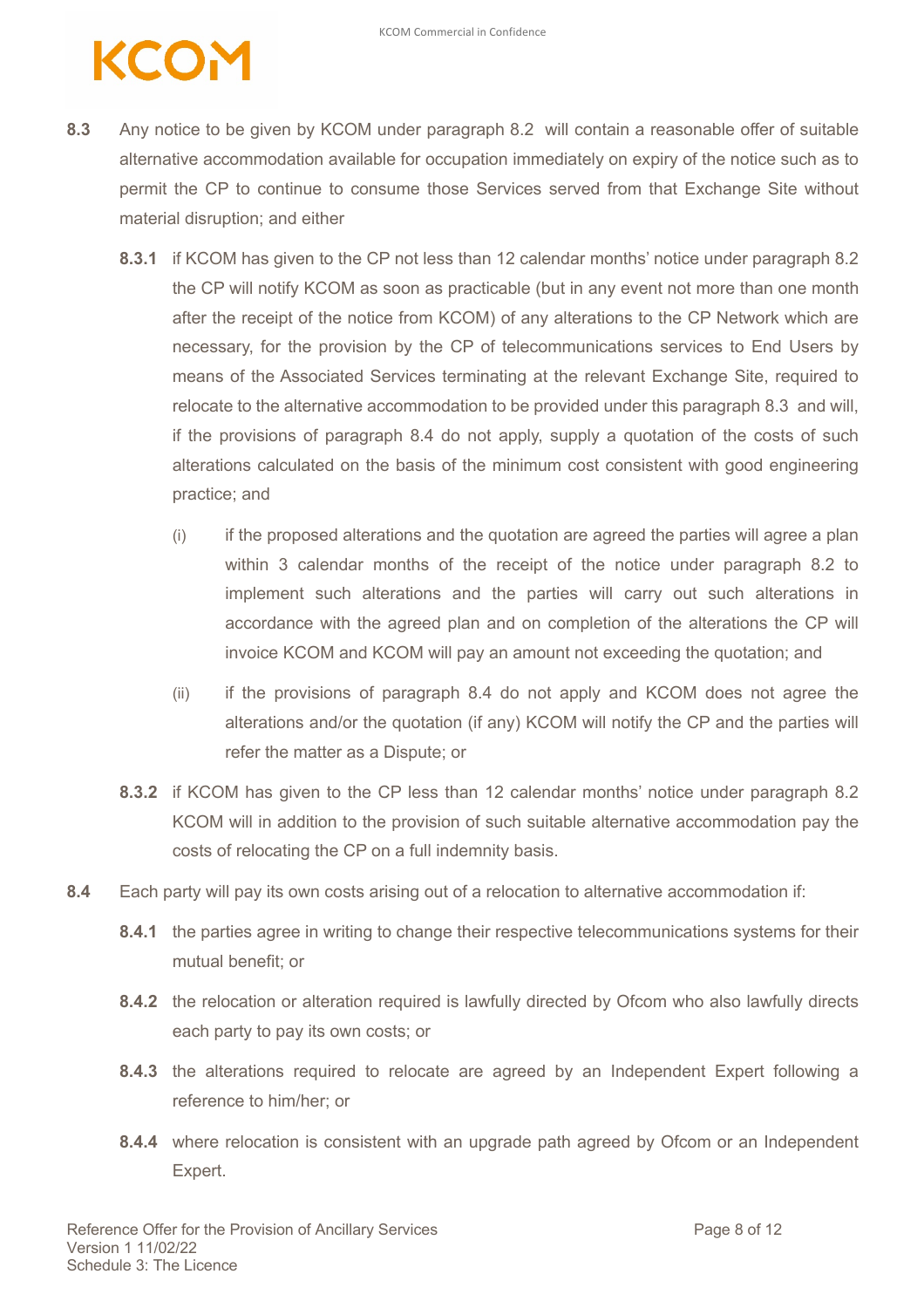### CON

- **8.3** Any notice to be given by KCOM under paragraph 8.2 will contain a reasonable offer of suitable alternative accommodation available for occupation immediately on expiry of the notice such as to permit the CP to continue to consume those Services served from that Exchange Site without material disruption; and either
	- **8.3.1** if KCOM has given to the CP not less than 12 calendar months' notice under paragraph 8.2 the CP will notify KCOM as soon as practicable (but in any event not more than one month after the receipt of the notice from KCOM) of any alterations to the CP Network which are necessary, for the provision by the CP of telecommunications services to End Users by means of the Associated Services terminating at the relevant Exchange Site, required to relocate to the alternative accommodation to be provided under this paragraph 8.3 and will, if the provisions of paragraph 8.4 do not apply, supply a quotation of the costs of such alterations calculated on the basis of the minimum cost consistent with good engineering practice; and
		- (i) if the proposed alterations and the quotation are agreed the parties will agree a plan within 3 calendar months of the receipt of the notice under paragraph 8.2 to implement such alterations and the parties will carry out such alterations in accordance with the agreed plan and on completion of the alterations the CP will invoice KCOM and KCOM will pay an amount not exceeding the quotation; and
		- (ii) if the provisions of paragraph 8.4 do not apply and KCOM does not agree the alterations and/or the quotation (if any) KCOM will notify the CP and the parties will refer the matter as a Dispute; or
	- **8.3.2** if KCOM has given to the CP less than 12 calendar months' notice under paragraph 8.2 KCOM will in addition to the provision of such suitable alternative accommodation pay the costs of relocating the CP on a full indemnity basis.
- **8.4** Each party will pay its own costs arising out of a relocation to alternative accommodation if:
	- **8.4.1** the parties agree in writing to change their respective telecommunications systems for their mutual benefit; or
	- **8.4.2** the relocation or alteration required is lawfully directed by Ofcom who also lawfully directs each party to pay its own costs; or
	- **8.4.3** the alterations required to relocate are agreed by an Independent Expert following a reference to him/her; or
	- **8.4.4** where relocation is consistent with an upgrade path agreed by Ofcom or an Independent Expert.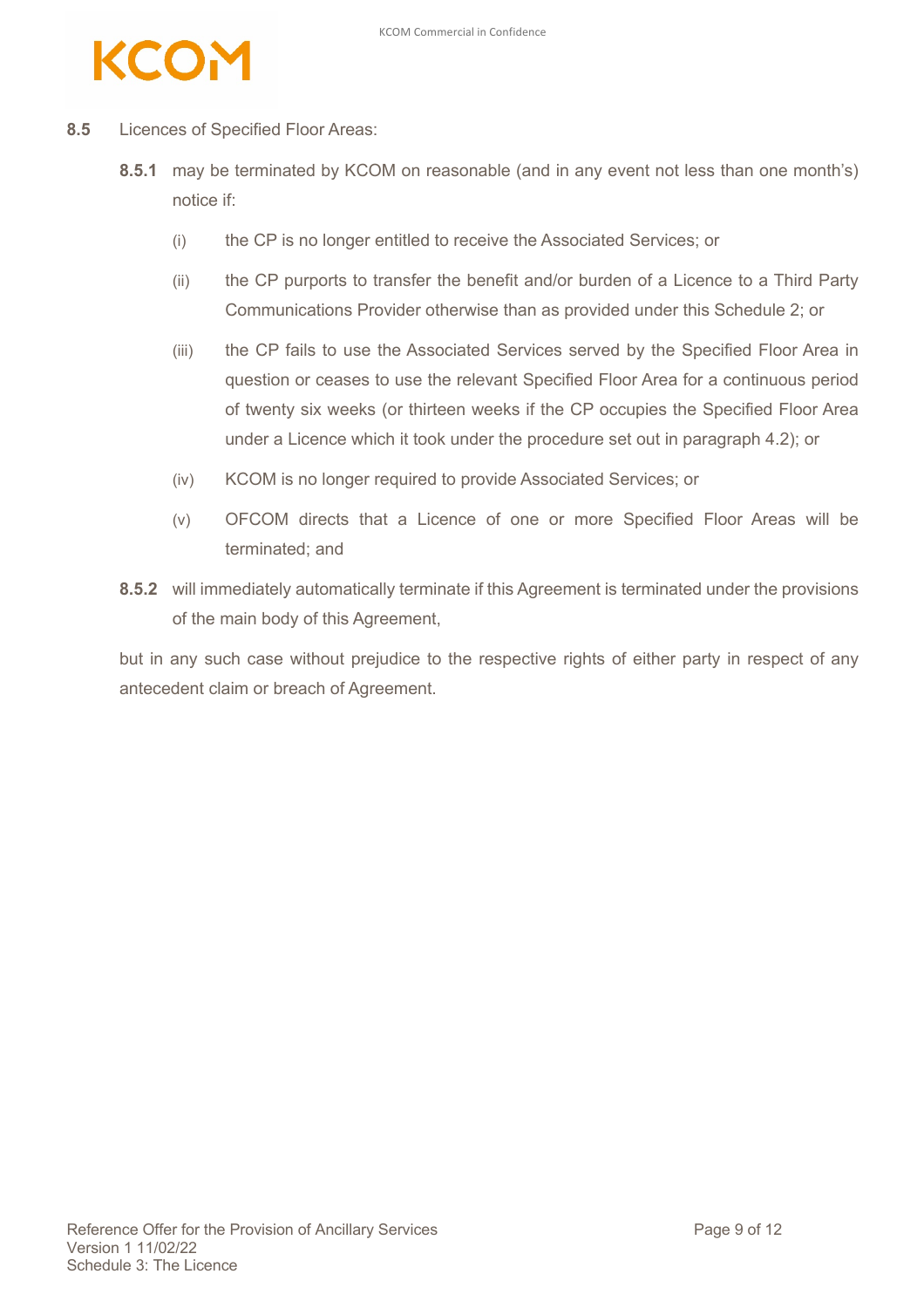

- **8.5** Licences of Specified Floor Areas:
	- **8.5.1** may be terminated by KCOM on reasonable (and in any event not less than one month's) notice if:
		- (i) the CP is no longer entitled to receive the Associated Services; or
		- (ii) the CP purports to transfer the benefit and/or burden of a Licence to a Third Party Communications Provider otherwise than as provided under this Schedule 2; or
		- (iii) the CP fails to use the Associated Services served by the Specified Floor Area in question or ceases to use the relevant Specified Floor Area for a continuous period of twenty six weeks (or thirteen weeks if the CP occupies the Specified Floor Area under a Licence which it took under the procedure set out in paragraph 4.2); or
		- (iv) KCOM is no longer required to provide Associated Services; or
		- (v) OFCOM directs that a Licence of one or more Specified Floor Areas will be terminated; and
	- **8.5.2** will immediately automatically terminate if this Agreement is terminated under the provisions of the main body of this Agreement,

but in any such case without prejudice to the respective rights of either party in respect of any antecedent claim or breach of Agreement.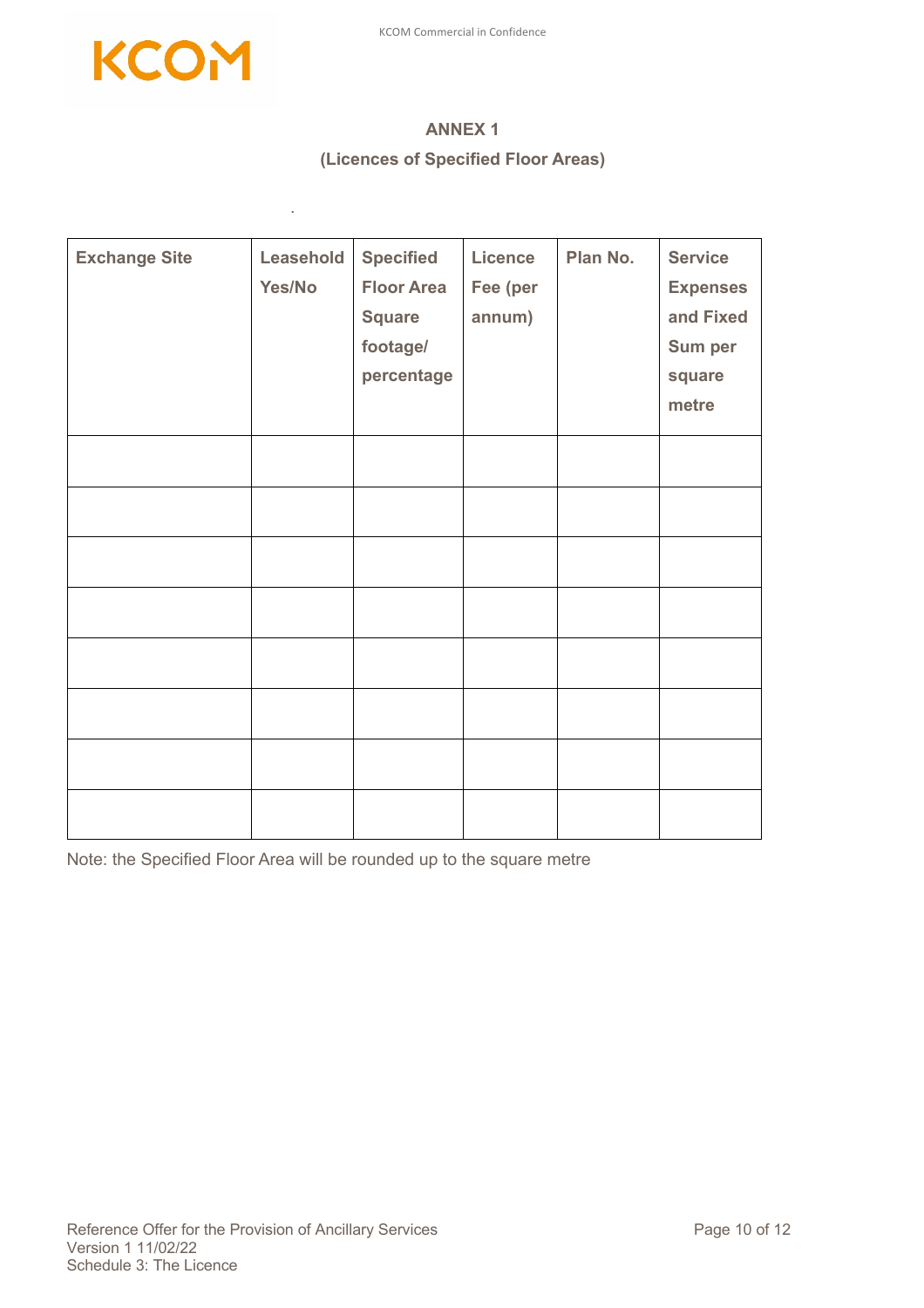

.

### **ANNEX 1 (Licences of Specified Floor Areas)**

| <b>Exchange Site</b> | Leasehold<br>Yes/No | <b>Specified</b><br><b>Floor Area</b><br><b>Square</b><br>footage/<br>percentage | <b>Licence</b><br>Fee (per<br>annum) | Plan No. | <b>Service</b><br><b>Expenses</b><br>and Fixed<br>Sum per<br>square<br>metre |
|----------------------|---------------------|----------------------------------------------------------------------------------|--------------------------------------|----------|------------------------------------------------------------------------------|
|                      |                     |                                                                                  |                                      |          |                                                                              |
|                      |                     |                                                                                  |                                      |          |                                                                              |
|                      |                     |                                                                                  |                                      |          |                                                                              |
|                      |                     |                                                                                  |                                      |          |                                                                              |
|                      |                     |                                                                                  |                                      |          |                                                                              |
|                      |                     |                                                                                  |                                      |          |                                                                              |
|                      |                     |                                                                                  |                                      |          |                                                                              |
|                      |                     |                                                                                  |                                      |          |                                                                              |

Note: the Specified Floor Area will be rounded up to the square metre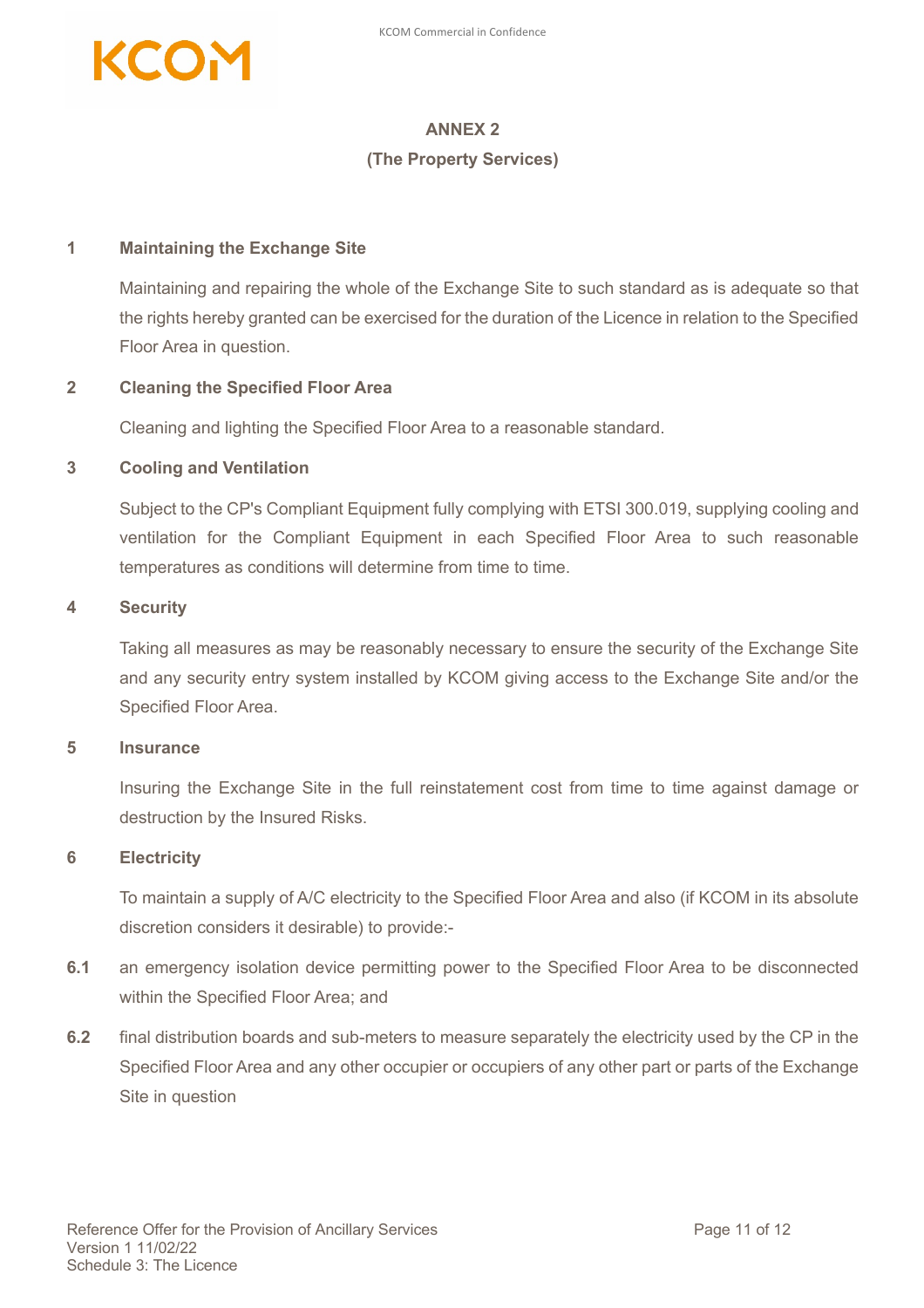

### **ANNEX 2**

#### **(The Property Services)**

#### **1 Maintaining the Exchange Site**

Maintaining and repairing the whole of the Exchange Site to such standard as is adequate so that the rights hereby granted can be exercised for the duration of the Licence in relation to the Specified Floor Area in question.

#### **2 Cleaning the Specified Floor Area**

Cleaning and lighting the Specified Floor Area to a reasonable standard.

#### **3 Cooling and Ventilation**

Subject to the CP's Compliant Equipment fully complying with ETSI 300.019, supplying cooling and ventilation for the Compliant Equipment in each Specified Floor Area to such reasonable temperatures as conditions will determine from time to time.

#### **4 Security**

Taking all measures as may be reasonably necessary to ensure the security of the Exchange Site and any security entry system installed by KCOM giving access to the Exchange Site and/or the Specified Floor Area.

#### **5 Insurance**

Insuring the Exchange Site in the full reinstatement cost from time to time against damage or destruction by the Insured Risks.

#### **6 Electricity**

To maintain a supply of A/C electricity to the Specified Floor Area and also (if KCOM in its absolute discretion considers it desirable) to provide:-

- **6.1** an emergency isolation device permitting power to the Specified Floor Area to be disconnected within the Specified Floor Area; and
- **6.2** final distribution boards and sub-meters to measure separately the electricity used by the CP in the Specified Floor Area and any other occupier or occupiers of any other part or parts of the Exchange Site in question